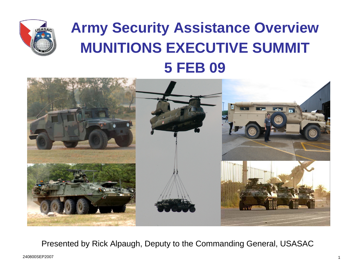

## **Army Security Assistance Overview MUNITIONS EXECUTIVE SUMMIT5 FEB 09**



Presented by Rick Alpaugh, Deputy to the Commanding General, USASAC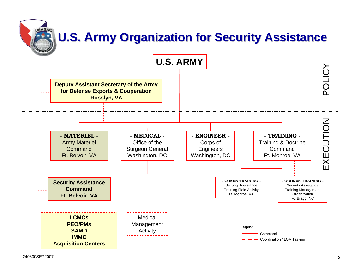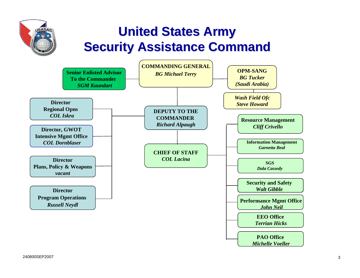## **United States Army United States Army Security Assistance Command**

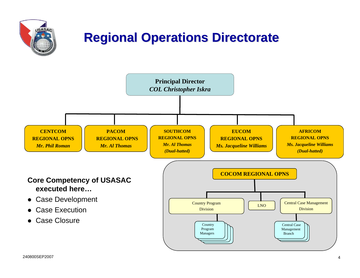

240800SEP2007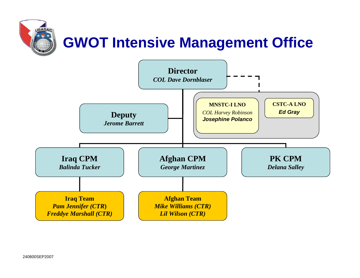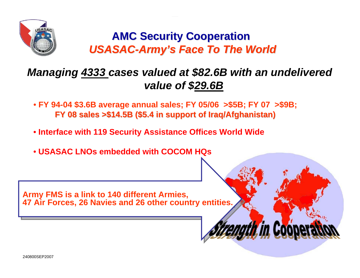

## **AMC Security Cooperation AMC Security Cooperation** *USASAC-Army's Face To The World*

## *Managing 4333 cases valued at \$82.6B with an undelivered value of \$29.6B*

*h in Coon* 

- **FY 94-04 \$3.6B average annual sales; FY 05/06 >\$5B; FY 07 >\$9B; FY 08 sales >\$14.5B (\$5.4 in support of Iraq/Afghanistan) FY 08 sales >\$14.5B (\$5.4 in support of Iraq/Afghanistan)**
- **Interface with 119 Security Assistance Offices World Wide**
- **USASAC LNOs embedded with COCOM HQs**

Army FMS is a link to 140 different Armies,<br>47 Air Fersee, 36 Navies and 36 other county **47 Air Forces, 26 Navies and 26 other country entities. 47 Air Forces, 26 Navies and 26 other country entities.**

240800SEP2007 $\overline{\phantom{a}}$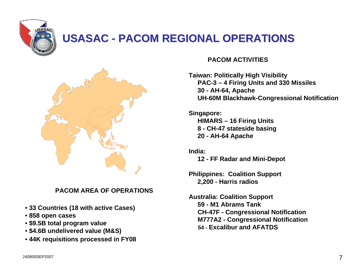

## **USASAC - PACOM REGIONAL OPERATIONS**



#### **PACOM AREA OF OPERATIONS**

- **33 Countries (18 with active Cases)**
- **858 open cases**
- **\$9.5B total program value**
- **\$4.6B undelivered value (M&S)**
- **44K requisitions processed in FY08**

#### **PACOM ACTIVITIES**

**Taiwan: Politically High Visibility PAC-3 – 4 Firing Units and 330 Missiles 30 - AH-64, Apache UH-60M Blackhawk-Congressional Notification**

**Singapore: HIMARS – 16 Firing Units 8 - CH-47 stateside basing 20 - AH-64 Apache** 

**India:**

- **12 FF Radar and Mini-Depot**
- **Philippines: Coalition Support 2,200 - Harris radios**
- **Australia: Coalition Support 59 - M1 Abrams Tank CH-47F - Congressional Notification M777A2 - Congressional Notification 54 - Excalibur and AFATDS**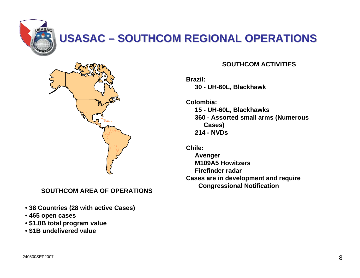

## **USASAC – SOUTHCOM REGIONAL OPERATIONS**



#### **SOUTHCOM AREA OF OPERATIONS**

- **38 Countries (28 with active Cases)**
- **465 open cases**
- **\$1.8B total program value**
- **\$1B undelivered value**

#### **SOUTHCOM ACTIVITIES**

**Brazil:30 - UH-60L, Blackhawk**

**Colombia:15 - UH-60L, Blackhawks 360 - Assorted small arms (Numerous Cases) 214 - NVDs** 

**Chile:** 

**Avenger M109A5 HowitzersFirefinder radarCases are in development and require Congressional Notification**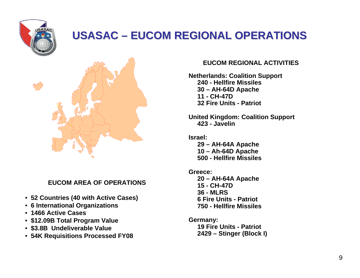

## **USASAC – EUCOM REGIONAL OPERATIONS**



**EUCOM AREA OF OPERATIONS**

- **52 Countries (40 with Active Cases)**
- **6 International Organizations**
- **1466 Active Cases**
- **\$12.09B Total Program Value**
- **\$3.8B Undeliverable Value**
- **54K Requisitions Processed FY08**

#### **EUCOM REGIONAL ACTIVITIES**

**Netherlands: Coalition Support 240 - Hellfire Missiles30 – AH-64D Apache 11 - CH-47D 32 Fire Units - Patriot**

**United Kingdom: Coalition Support 423 - Javelin**

- **Israel: 29 – AH-64A Apache 10 – Ah-64D Apache 500 - Hellfire Missiles**
- **Greece:20 – AH-64A Apache 15 - CH-47D36 - MLRS6 Fire Units - Patriot750 - Hellfire Missiles**
- **Germany: 19 Fire Units - Patriot 2429 – Stinger (Block I)**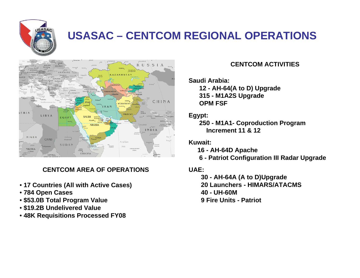

## **USASAC – CENTCOM REGIONAL OPERATIONS**



#### **CENTCOM AREA OF OPERATIONS**

- **17 Countries (All with Active Cases)**
- **784 Open Cases**
- **\$53.0B Total Program Value**
- **\$19.2B Undelivered Value**
- **48K Requisitions Processed FY08**

#### **CENTCOM ACTIVITIES**

#### **Saudi Arabia:**

**12 - AH-64(A to D) Upgrade 315 - M1A2S Upgrade OPM FSF**

#### **Egypt:**

**250 - M1A1- Coproduction Program Increment 11 & 12**

**Kuwait:** 

- **16 AH-64D Apache**
- **6 Patriot Configuration III Radar Upgrade**

#### **UAE:**

**30 - AH-64A (A to D)Upgrade 20 Launchers - HIMARS/ATACMS 40 - UH-60M9 Fire Units - Patriot**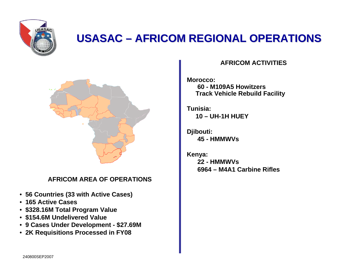

## **USASAC – AFRICOM REGIONAL OPERATIONS**



#### **AFRICOM AREA OF OPERATIONS**

- **56 Countries (33 with Active Cases)**
- **165 Active Cases**
- **\$328.16M Total Program Value**
- **\$154.6M Undelivered Value**
- **9 Cases Under Development \$27.69M**
- **2K Requisitions Processed in FY08**

#### **AFRICOM ACTIVITIES**

**Morocco: 60 - M109A5 HowitzersTrack Vehicle Rebuild Facility** 

**Tunisia:10 – UH-1H HUEY** 

**Djibouti: 45 - HMMWVs**

**Kenya: 22 - HMMWVs6964 – M4A1 Carbine Rifles**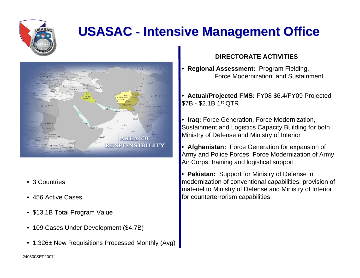

## **USASAC - Intensive Management Office**



- 3 Countries
- 456 Active Cases
- \$13.1B Total Program Value
- 109 Cases Under Development (\$4.7B)
- 1,326± New Requisitions Processed Monthly (Avg)

#### **DIRECTORATE ACTIVITIES**

- **Regional Assessment:** Program Fielding, Force Modernization and Sustainment
- **Actual/Projected FMS:** FY08 \$6.4/FY09 Projected \$7B - \$2.1B 1st QTR
- **Iraq:** Force Generation, Force Modernization, Sustainment and Logistics Capacity Building for both Ministry of Defense and Ministry of Interior
- **Afghanistan:** Force Generation for expansion of Army and Police Forces, Force Modernization of Army Air Corps; training and logistical support
- **Pakistan:** Support for Ministry of Defense in modernization of conventional capabilities: provision of materiel to Ministry of Defense and Ministry of Interior for counterterrorism capabilities.

240800SEP2007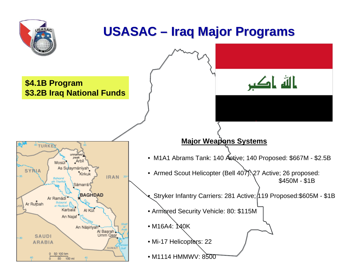

## **USASAC –Iraq Major Programs Iraq Major Programs**

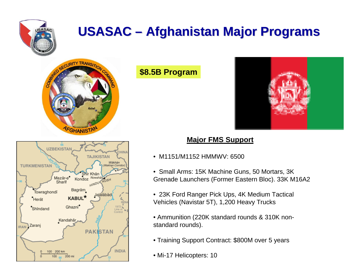

## **USASAC –Afghanistan Major Programs Afghanistan Major Programs**





## **\$8.5B Program**



## **Major FMS Support**

- M1151/M1152 HMMWV: 6500
- Small Arms: 15K Machine Guns, 50 Mortars, 3K Grenade Launchers (Former Eastern Bloc). 33K M16A2
- 23K Ford Ranger Pick Ups, 4K Medium Tactical Vehicles (Navistar 5T), 1,200 Heavy Trucks
- Ammunition (220K standard rounds & 310K nonstandard rounds).
- Training Support Contract: \$800M over 5 years
- Mi-17 Helicopters: 10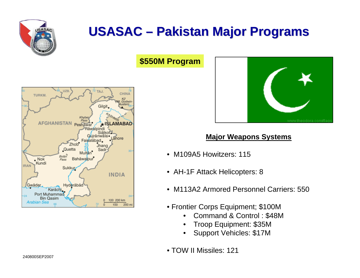

## **USASAC – Pakistan Major Programs**

## **\$550M Program**





### **Major Weapons Systems**

- M109A5 Howitzers: 115
- AH-1F Attack Helicopters: 8
- M113A2 Armored Personnel Carriers: 550
- Frontier Corps Equipment; \$100M
	- Command & Control : \$48M
	- Troop Equipment: \$35M
	- Support Vehicles: \$17M
- TOW II Missiles: 121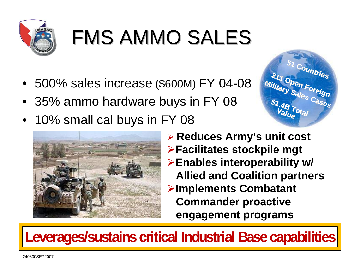

# **FMS AMMO SALES**

- 
- 
- 





 **Reduces Army's unit cost Facilitates stockpile mgt Enables interoperability w/ Allied and Coalition partners Implements Combatant Commander proactive engagement programs**

**Leverages/sustains critical Industrial Base capabilities**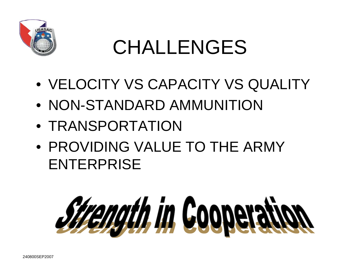

## CHALLENGES

- VELOCITY VS CAPACITY VS QUALITY
- NON-STANDARD AMMUNITION
- TRANSPORTATION
- PROVIDING VALUE TO THE ARMY ENTERPRISE

# **Strength in Cooperati**